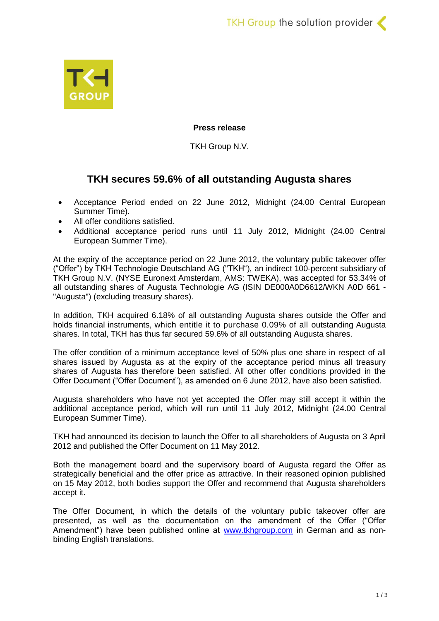

## **Press release**

TKH Group N.V.

# **TKH secures 59.6% of all outstanding Augusta shares**

- Acceptance Period ended on 22 June 2012, Midnight (24.00 Central European Summer Time).
- All offer conditions satisfied.
- Additional acceptance period runs until 11 July 2012, Midnight (24.00 Central European Summer Time).

At the expiry of the acceptance period on 22 June 2012, the voluntary public takeover offer ("Offer") by TKH Technologie Deutschland AG ("TKH"), an indirect 100-percent subsidiary of TKH Group N.V. (NYSE Euronext Amsterdam, AMS: TWEKA), was accepted for 53.34% of all outstanding shares of Augusta Technologie AG (ISIN DE000A0D6612/WKN A0D 661 - "Augusta") (excluding treasury shares).

In addition, TKH acquired 6.18% of all outstanding Augusta shares outside the Offer and holds financial instruments, which entitle it to purchase 0.09% of all outstanding Augusta shares. In total, TKH has thus far secured 59.6% of all outstanding Augusta shares.

The offer condition of a minimum acceptance level of 50% plus one share in respect of all shares issued by Augusta as at the expiry of the acceptance period minus all treasury shares of Augusta has therefore been satisfied. All other offer conditions provided in the Offer Document ("Offer Document"), as amended on 6 June 2012, have also been satisfied.

Augusta shareholders who have not yet accepted the Offer may still accept it within the additional acceptance period, which will run until 11 July 2012, Midnight (24.00 Central European Summer Time).

TKH had announced its decision to launch the Offer to all shareholders of Augusta on 3 April 2012 and published the Offer Document on 11 May 2012.

Both the management board and the supervisory board of Augusta regard the Offer as strategically beneficial and the offer price as attractive. In their reasoned opinion published on 15 May 2012, both bodies support the Offer and recommend that Augusta shareholders accept it.

The Offer Document, in which the details of the voluntary public takeover offer are presented, as well as the documentation on the amendment of the Offer ("Offer Amendment") have been published online at [www.tkhgroup.com](http://www.tkhgroup.com/) in German and as nonbinding English translations.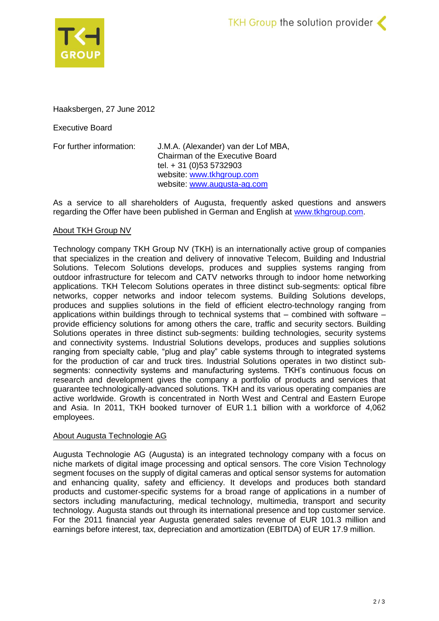



Haaksbergen, 27 June 2012

Executive Board

For further information: J.M.A. (Alexander) van der Lof MBA, Chairman of the Executive Board tel. + 31 (0)53 5732903 website: [www.tkhgroup.com](http://www.tkhgroup.com/) website: www.augusta-ag.com

As a service to all shareholders of Augusta, frequently asked questions and answers regarding the Offer have been published in German and English at [www.tkhgroup.com.](http://www.tkhgroup.com/)

### About TKH Group NV

Technology company TKH Group NV (TKH) is an internationally active group of companies that specializes in the creation and delivery of innovative Telecom, Building and Industrial Solutions. Telecom Solutions develops, produces and supplies systems ranging from outdoor infrastructure for telecom and CATV networks through to indoor home networking applications. TKH Telecom Solutions operates in three distinct sub-segments: optical fibre networks, copper networks and indoor telecom systems. Building Solutions develops, produces and supplies solutions in the field of efficient electro-technology ranging from applications within buildings through to technical systems that – combined with software – provide efficiency solutions for among others the care, traffic and security sectors. Building Solutions operates in three distinct sub-segments: building technologies, security systems and connectivity systems. Industrial Solutions develops, produces and supplies solutions ranging from specialty cable, "plug and play" cable systems through to integrated systems for the production of car and truck tires. Industrial Solutions operates in two distinct subsegments: connectivity systems and manufacturing systems. TKH's continuous focus on research and development gives the company a portfolio of products and services that guarantee technologically-advanced solutions. TKH and its various operating companies are active worldwide. Growth is concentrated in North West and Central and Eastern Europe and Asia. In 2011, TKH booked turnover of EUR 1.1 billion with a workforce of 4,062 employees.

#### About Augusta Technologie AG

Augusta Technologie AG (Augusta) is an integrated technology company with a focus on niche markets of digital image processing and optical sensors. The core Vision Technology segment focuses on the supply of digital cameras and optical sensor systems for automation and enhancing quality, safety and efficiency. It develops and produces both standard products and customer-specific systems for a broad range of applications in a number of sectors including manufacturing, medical technology, multimedia, transport and security technology. Augusta stands out through its international presence and top customer service. For the 2011 financial year Augusta generated sales revenue of EUR 101.3 million and earnings before interest, tax, depreciation and amortization (EBITDA) of EUR 17.9 million.